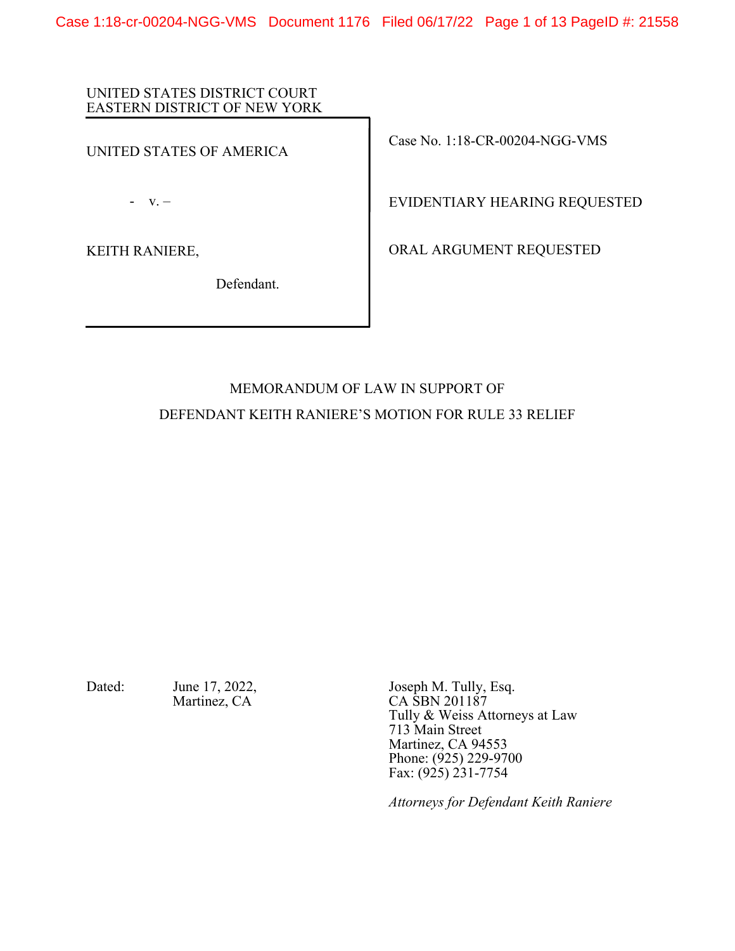Case 1:18-cr-00204-NGG-VMS Document 1176 Filed 06/17/22 Page 1 of 13 PageID #: 21558

## UNITED STATES DISTRICT COURT EASTERN DISTRICT OF NEW YORK

UNITED STATES OF AMERICA

- v. –

KEITH RANIERE,

Defendant.

Case No. 1:18-CR-00204-NGG-VMS

EVIDENTIARY HEARING REQUESTED

ORAL ARGUMENT REQUESTED

# MEMORANDUM OF LAW IN SUPPORT OF DEFENDANT KEITH RANIERE'S MOTION FOR RULE 33 RELIEF

Dated: June 17, 2022, Joseph M. Tully, Esq. Martinez, CA CA SBN 201187 Tully & Weiss Attorneys at Law 713 Main Street Martinez, CA 94553 Phone: (925) 229-9700 Fax:  $(925)$  231-7754

*Attorneys for Defendant Keith Raniere*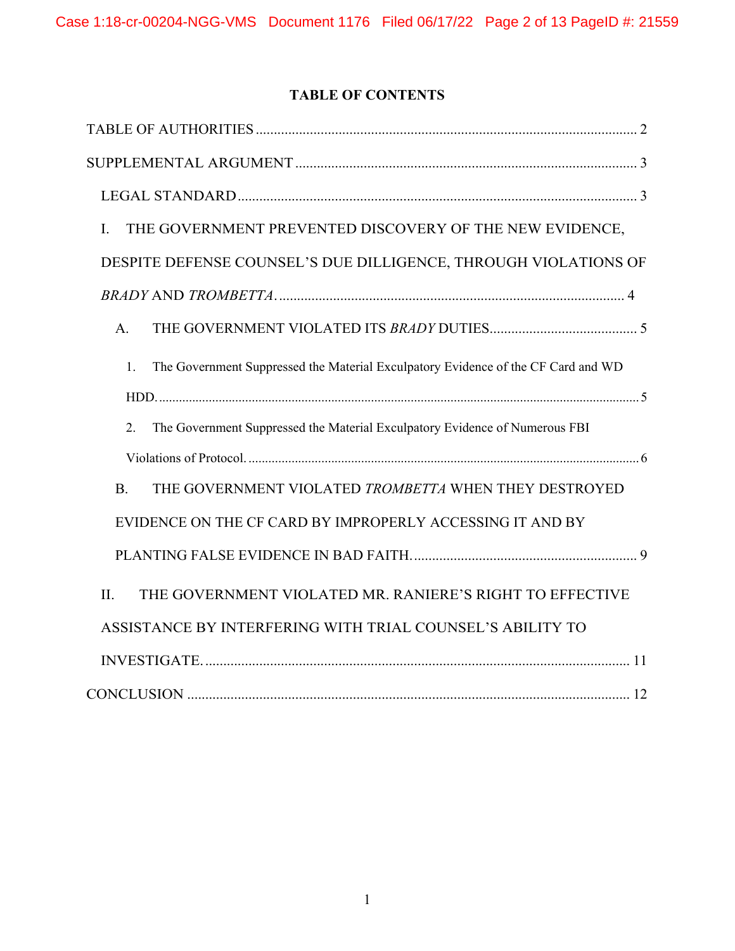# **TABLE OF CONTENTS**

| THE GOVERNMENT PREVENTED DISCOVERY OF THE NEW EVIDENCE,<br>I.                           |
|-----------------------------------------------------------------------------------------|
| DESPITE DEFENSE COUNSEL'S DUE DILLIGENCE, THROUGH VIOLATIONS OF                         |
|                                                                                         |
| A.                                                                                      |
| The Government Suppressed the Material Exculpatory Evidence of the CF Card and WD<br>1. |
|                                                                                         |
| The Government Suppressed the Material Exculpatory Evidence of Numerous FBI<br>2.       |
|                                                                                         |
| THE GOVERNMENT VIOLATED TROMBETTA WHEN THEY DESTROYED<br><b>B.</b>                      |
| EVIDENCE ON THE CF CARD BY IMPROPERLY ACCESSING IT AND BY                               |
|                                                                                         |
| THE GOVERNMENT VIOLATED MR. RANIERE'S RIGHT TO EFFECTIVE<br>II.                         |
| ASSISTANCE BY INTERFERING WITH TRIAL COUNSEL'S ABILITY TO                               |
|                                                                                         |
|                                                                                         |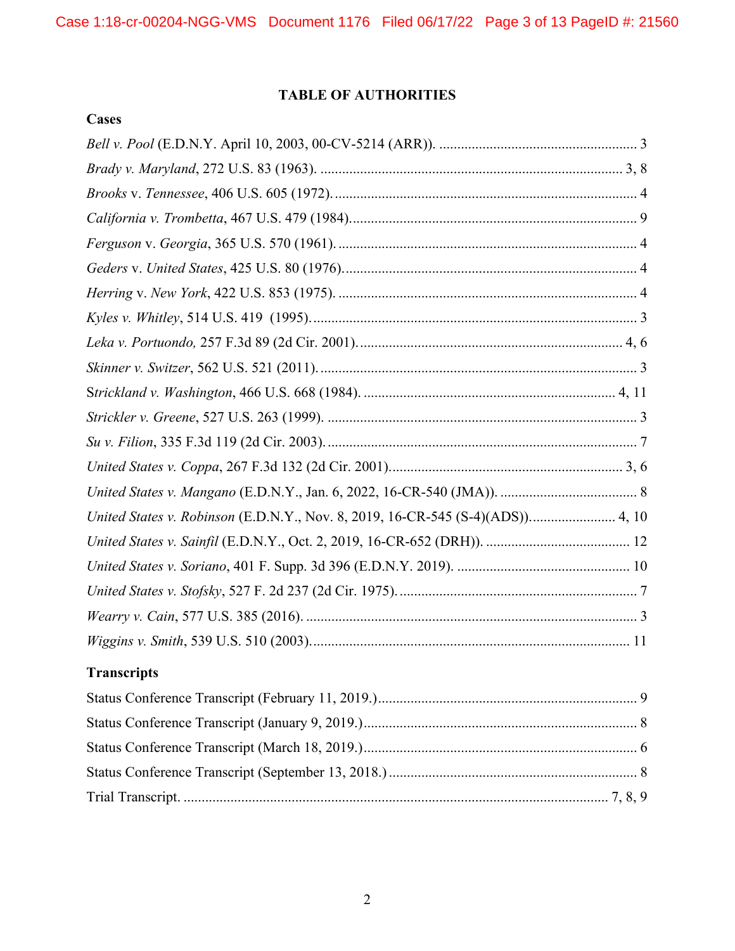# **TABLE OF AUTHORITIES**

**Cases**

| United States v. Robinson (E.D.N.Y., Nov. 8, 2019, 16-CR-545 (S-4)(ADS)) 4, 10 |
|--------------------------------------------------------------------------------|
|                                                                                |
|                                                                                |
|                                                                                |
|                                                                                |
|                                                                                |
| <b>Transcripts</b>                                                             |
|                                                                                |
|                                                                                |
|                                                                                |
|                                                                                |
|                                                                                |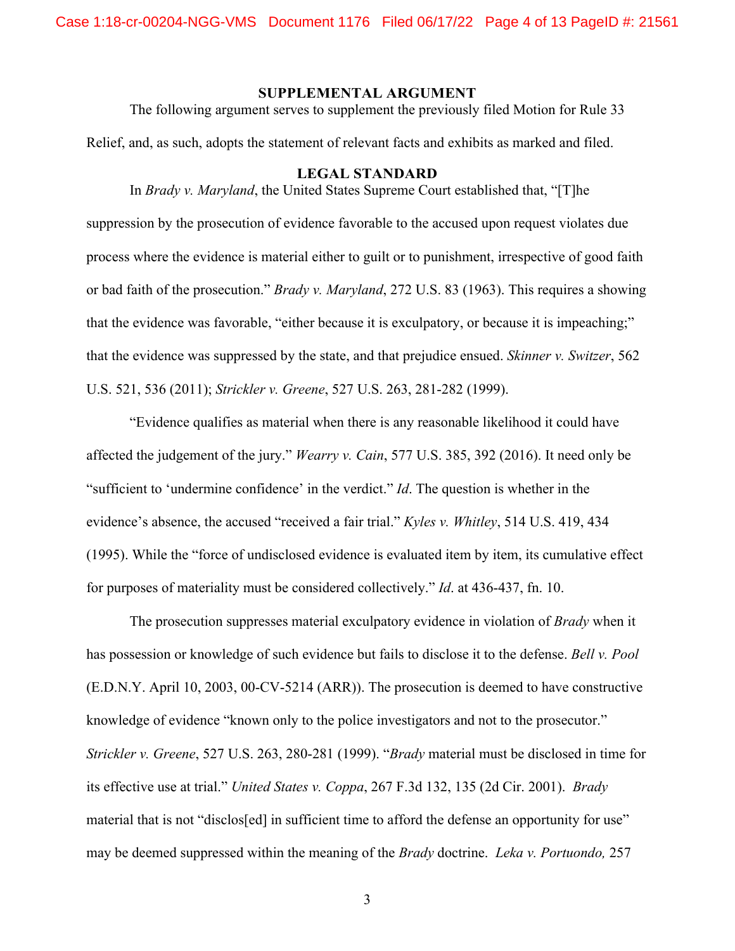#### **SUPPLEMENTAL ARGUMENT**

The following argument serves to supplement the previously filed Motion for Rule 33

Relief, and, as such, adopts the statement of relevant facts and exhibits as marked and filed.

#### **LEGAL STANDARD**

In *Brady v. Maryland*, the United States Supreme Court established that, "[T]he suppression by the prosecution of evidence favorable to the accused upon request violates due process where the evidence is material either to guilt or to punishment, irrespective of good faith or bad faith of the prosecution." *Brady v. Maryland*, 272 U.S. 83 (1963). This requires a showing that the evidence was favorable, "either because it is exculpatory, or because it is impeaching;" that the evidence was suppressed by the state, and that prejudice ensued. *Skinner v. Switzer*, 562 U.S. 521, 536 (2011); *Strickler v. Greene*, 527 U.S. 263, 281-282 (1999).

"Evidence qualifies as material when there is any reasonable likelihood it could have affected the judgement of the jury." *Wearry v. Cain*, 577 U.S. 385, 392 (2016). It need only be "sufficient to 'undermine confidence' in the verdict." *Id*. The question is whether in the evidence's absence, the accused "received a fair trial." *Kyles v. Whitley*, 514 U.S. 419, 434 (1995). While the "force of undisclosed evidence is evaluated item by item, its cumulative effect for purposes of materiality must be considered collectively." *Id*. at 436-437, fn. 10.

The prosecution suppresses material exculpatory evidence in violation of *Brady* when it has possession or knowledge of such evidence but fails to disclose it to the defense. *Bell v. Pool*  (E.D.N.Y. April 10, 2003, 00-CV-5214 (ARR)). The prosecution is deemed to have constructive knowledge of evidence "known only to the police investigators and not to the prosecutor." *Strickler v. Greene*, 527 U.S. 263, 280-281 (1999). "*Brady* material must be disclosed in time for its effective use at trial." *United States v. Coppa*, 267 F.3d 132, 135 (2d Cir. 2001). *Brady* material that is not "disclos[ed] in sufficient time to afford the defense an opportunity for use" may be deemed suppressed within the meaning of the *Brady* doctrine. *Leka v. Portuondo,* 257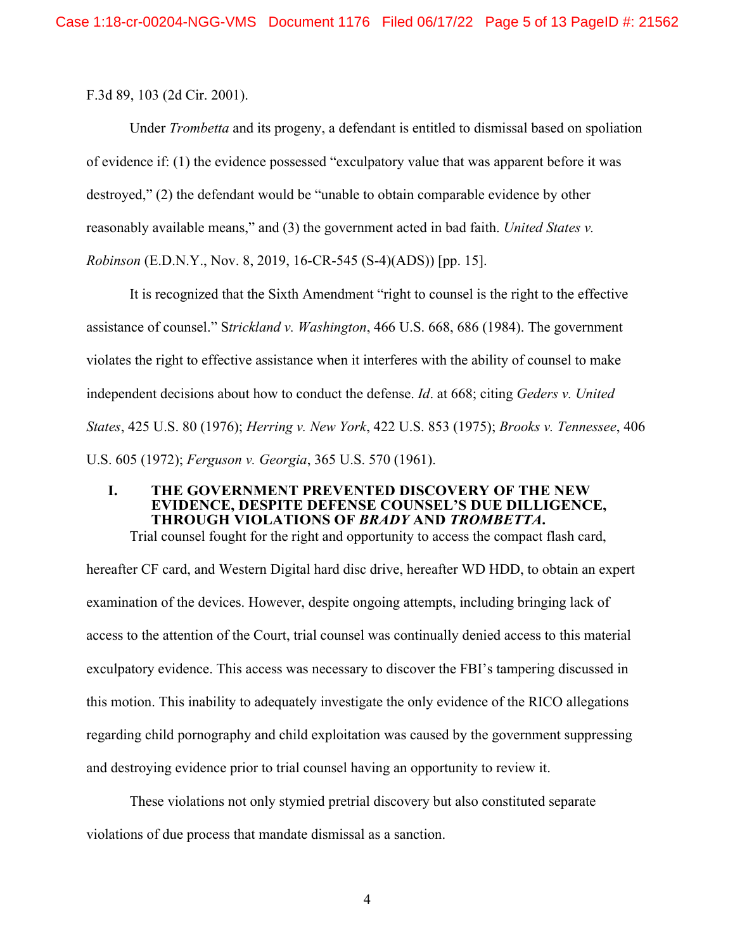F.3d 89, 103 (2d Cir. 2001).

Under *Trombetta* and its progeny, a defendant is entitled to dismissal based on spoliation of evidence if: (1) the evidence possessed "exculpatory value that was apparent before it was destroyed," (2) the defendant would be "unable to obtain comparable evidence by other reasonably available means," and (3) the government acted in bad faith. *United States v.* 

*Robinson* (E.D.N.Y., Nov. 8, 2019, 16-CR-545 (S-4)(ADS)) [pp. 15].

It is recognized that the Sixth Amendment "right to counsel is the right to the effective assistance of counsel." S*trickland v. Washington*, 466 U.S. 668, 686 (1984). The government violates the right to effective assistance when it interferes with the ability of counsel to make independent decisions about how to conduct the defense. *Id*. at 668; citing *Geders v. United States*, 425 U.S. 80 (1976); *Herring v. New York*, 422 U.S. 853 (1975); *Brooks v. Tennessee*, 406 U.S. 605 (1972); *Ferguson v. Georgia*, 365 U.S. 570 (1961).

# **I. THE GOVERNMENT PREVENTED DISCOVERY OF THE NEW EVIDENCE, DESPITE DEFENSE COUNSEL'S DUE DILLIGENCE, THROUGH VIOLATIONS OF** *BRADY* **AND** *TROMBETTA***.**

Trial counsel fought for the right and opportunity to access the compact flash card, hereafter CF card, and Western Digital hard disc drive, hereafter WD HDD, to obtain an expert examination of the devices. However, despite ongoing attempts, including bringing lack of access to the attention of the Court, trial counsel was continually denied access to this material exculpatory evidence. This access was necessary to discover the FBI's tampering discussed in this motion. This inability to adequately investigate the only evidence of the RICO allegations regarding child pornography and child exploitation was caused by the government suppressing and destroying evidence prior to trial counsel having an opportunity to review it.

These violations not only stymied pretrial discovery but also constituted separate violations of due process that mandate dismissal as a sanction.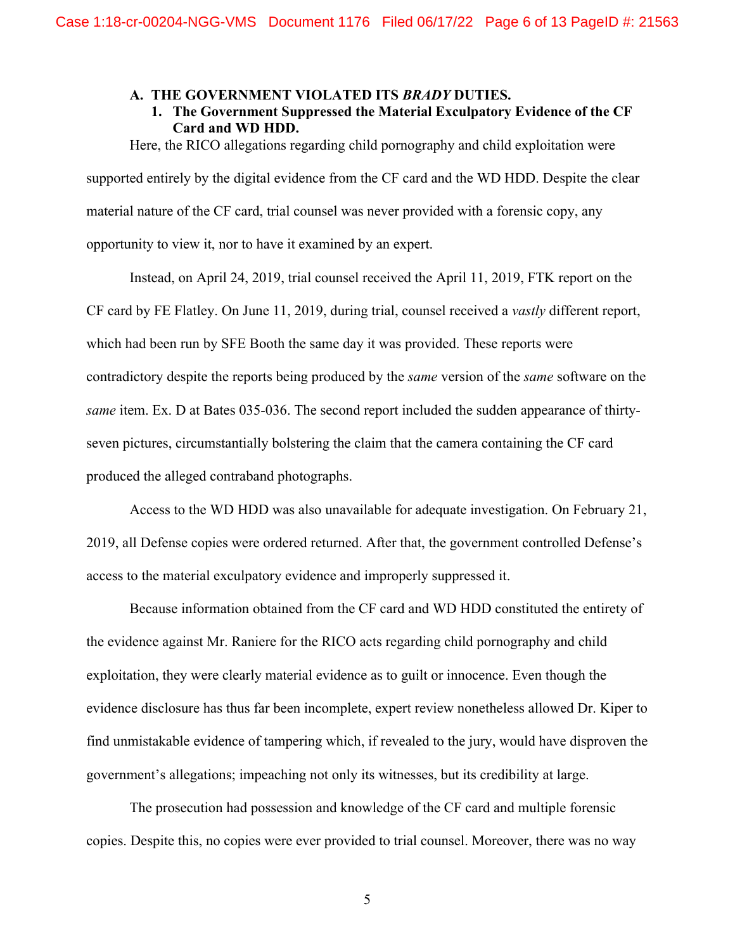#### **A. THE GOVERNMENT VIOLATED ITS** *BRADY* **DUTIES.**

**1. The Government Suppressed the Material Exculpatory Evidence of the CF Card and WD HDD.** 

Here, the RICO allegations regarding child pornography and child exploitation were supported entirely by the digital evidence from the CF card and the WD HDD. Despite the clear

material nature of the CF card, trial counsel was never provided with a forensic copy, any

opportunity to view it, nor to have it examined by an expert.

Instead, on April 24, 2019, trial counsel received the April 11, 2019, FTK report on the CF card by FE Flatley. On June 11, 2019, during trial, counsel received a *vastly* different report, which had been run by SFE Booth the same day it was provided. These reports were contradictory despite the reports being produced by the *same* version of the *same* software on the *same* item. Ex. D at Bates 035-036. The second report included the sudden appearance of thirtyseven pictures, circumstantially bolstering the claim that the camera containing the CF card produced the alleged contraband photographs.

Access to the WD HDD was also unavailable for adequate investigation. On February 21, 2019, all Defense copies were ordered returned. After that, the government controlled Defense's access to the material exculpatory evidence and improperly suppressed it.

Because information obtained from the CF card and WD HDD constituted the entirety of the evidence against Mr. Raniere for the RICO acts regarding child pornography and child exploitation, they were clearly material evidence as to guilt or innocence. Even though the evidence disclosure has thus far been incomplete, expert review nonetheless allowed Dr. Kiper to find unmistakable evidence of tampering which, if revealed to the jury, would have disproven the government's allegations; impeaching not only its witnesses, but its credibility at large.

The prosecution had possession and knowledge of the CF card and multiple forensic copies. Despite this, no copies were ever provided to trial counsel. Moreover, there was no way

5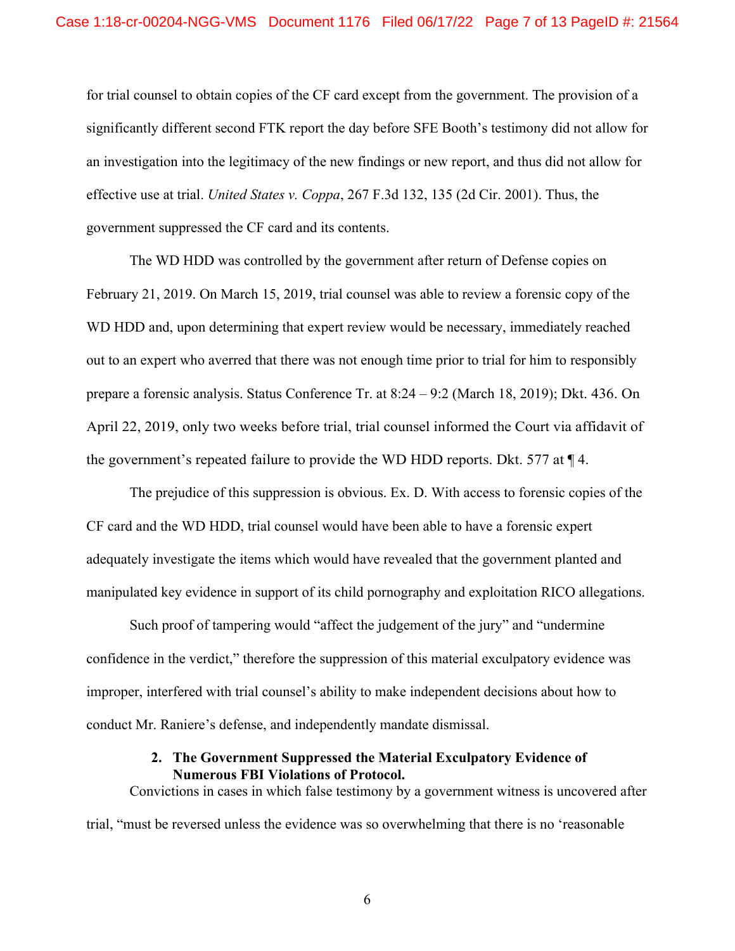for trial counsel to obtain copies of the CF card except from the government. The provision of a significantly different second FTK report the day before SFE Booth's testimony did not allow for an investigation into the legitimacy of the new findings or new report, and thus did not allow for effective use at trial. *United States v. Coppa*, 267 F.3d 132, 135 (2d Cir. 2001). Thus, the government suppressed the CF card and its contents.

The WD HDD was controlled by the government after return of Defense copies on February 21, 2019. On March 15, 2019, trial counsel was able to review a forensic copy of the WD HDD and, upon determining that expert review would be necessary, immediately reached out to an expert who averred that there was not enough time prior to trial for him to responsibly prepare a forensic analysis. Status Conference Tr. at 8:24 – 9:2 (March 18, 2019); Dkt. 436. On April 22, 2019, only two weeks before trial, trial counsel informed the Court via affidavit of the government's repeated failure to provide the WD HDD reports. Dkt. 577 at ¶ 4.

The prejudice of this suppression is obvious. Ex. D. With access to forensic copies of the CF card and the WD HDD, trial counsel would have been able to have a forensic expert adequately investigate the items which would have revealed that the government planted and manipulated key evidence in support of its child pornography and exploitation RICO allegations.

Such proof of tampering would "affect the judgement of the jury" and "undermine confidence in the verdict," therefore the suppression of this material exculpatory evidence was improper, interfered with trial counsel's ability to make independent decisions about how to conduct Mr. Raniere's defense, and independently mandate dismissal.

#### **2. The Government Suppressed the Material Exculpatory Evidence of Numerous FBI Violations of Protocol.**

Convictions in cases in which false testimony by a government witness is uncovered after trial, "must be reversed unless the evidence was so overwhelming that there is no 'reasonable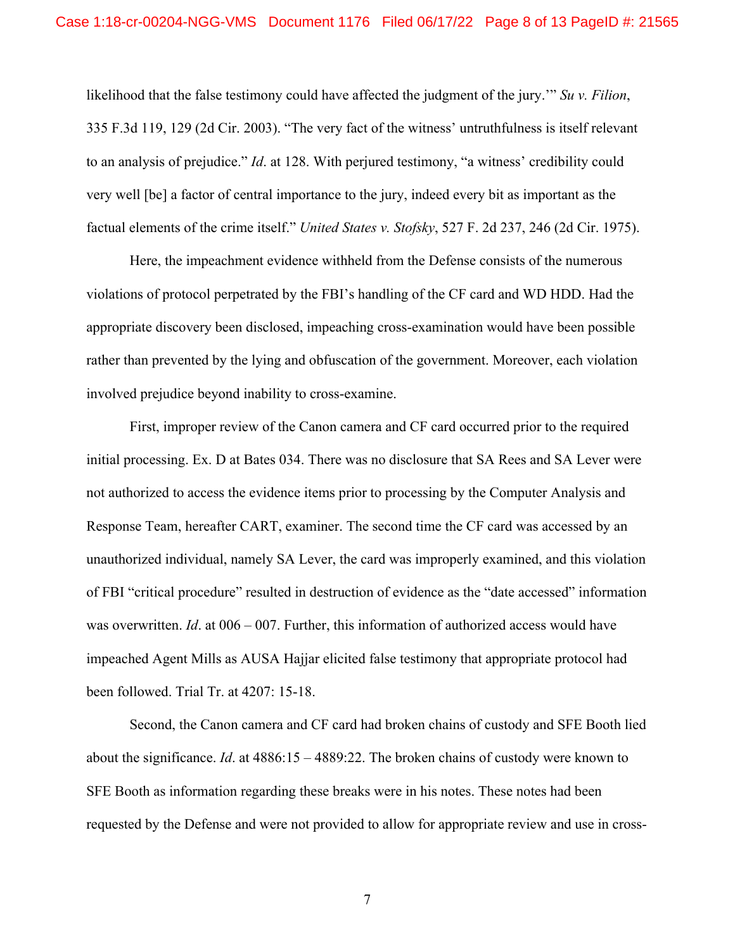likelihood that the false testimony could have affected the judgment of the jury.'" *Su v. Filion*, 335 F.3d 119, 129 (2d Cir. 2003). "The very fact of the witness' untruthfulness is itself relevant to an analysis of prejudice." *Id*. at 128. With perjured testimony, "a witness' credibility could very well [be] a factor of central importance to the jury, indeed every bit as important as the factual elements of the crime itself." *United States v. Stofsky*, 527 F. 2d 237, 246 (2d Cir. 1975).

Here, the impeachment evidence withheld from the Defense consists of the numerous violations of protocol perpetrated by the FBI's handling of the CF card and WD HDD. Had the appropriate discovery been disclosed, impeaching cross-examination would have been possible rather than prevented by the lying and obfuscation of the government. Moreover, each violation involved prejudice beyond inability to cross-examine.

First, improper review of the Canon camera and CF card occurred prior to the required initial processing. Ex. D at Bates 034. There was no disclosure that SA Rees and SA Lever were not authorized to access the evidence items prior to processing by the Computer Analysis and Response Team, hereafter CART, examiner. The second time the CF card was accessed by an unauthorized individual, namely SA Lever, the card was improperly examined, and this violation of FBI "critical procedure" resulted in destruction of evidence as the "date accessed" information was overwritten. *Id*. at 006 – 007. Further, this information of authorized access would have impeached Agent Mills as AUSA Hajjar elicited false testimony that appropriate protocol had been followed. Trial Tr. at 4207: 15-18.

Second, the Canon camera and CF card had broken chains of custody and SFE Booth lied about the significance. *Id*. at 4886:15 – 4889:22. The broken chains of custody were known to SFE Booth as information regarding these breaks were in his notes. These notes had been requested by the Defense and were not provided to allow for appropriate review and use in cross-

7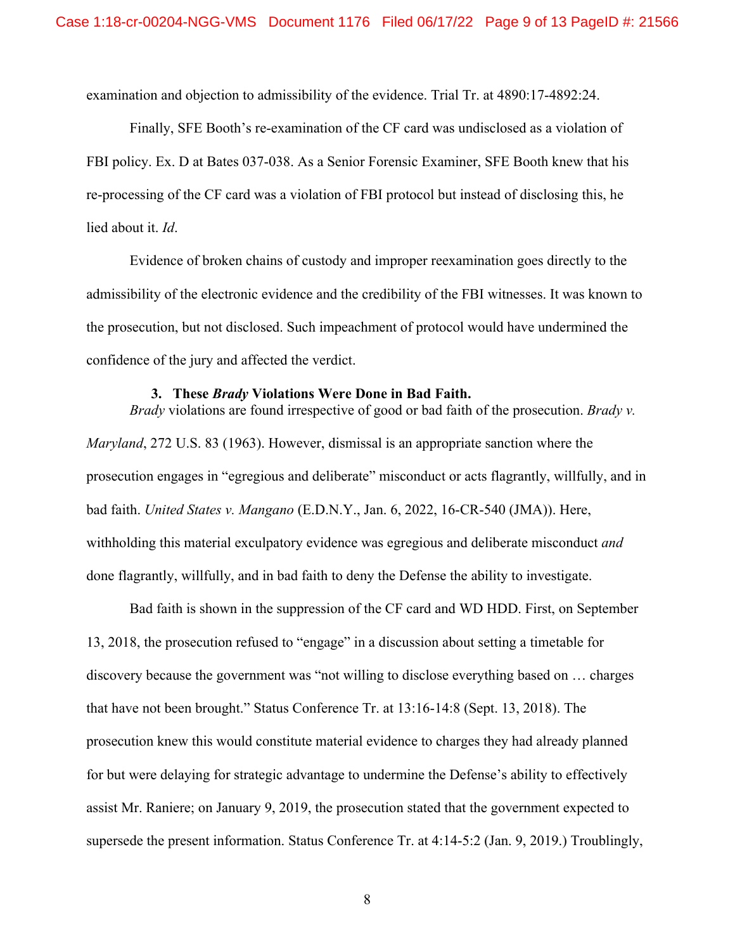examination and objection to admissibility of the evidence. Trial Tr. at 4890:17-4892:24.

Finally, SFE Booth's re-examination of the CF card was undisclosed as a violation of FBI policy. Ex. D at Bates 037-038. As a Senior Forensic Examiner, SFE Booth knew that his re-processing of the CF card was a violation of FBI protocol but instead of disclosing this, he lied about it. *Id*.

Evidence of broken chains of custody and improper reexamination goes directly to the admissibility of the electronic evidence and the credibility of the FBI witnesses. It was known to the prosecution, but not disclosed. Such impeachment of protocol would have undermined the confidence of the jury and affected the verdict.

#### **3. These** *Brady* **Violations Were Done in Bad Faith.**

*Brady* violations are found irrespective of good or bad faith of the prosecution. *Brady v. Maryland*, 272 U.S. 83 (1963). However, dismissal is an appropriate sanction where the prosecution engages in "egregious and deliberate" misconduct or acts flagrantly, willfully, and in bad faith. *United States v. Mangano* (E.D.N.Y., Jan. 6, 2022, 16-CR-540 (JMA)). Here, withholding this material exculpatory evidence was egregious and deliberate misconduct *and*  done flagrantly, willfully, and in bad faith to deny the Defense the ability to investigate.

Bad faith is shown in the suppression of the CF card and WD HDD. First, on September 13, 2018, the prosecution refused to "engage" in a discussion about setting a timetable for discovery because the government was "not willing to disclose everything based on … charges that have not been brought." Status Conference Tr. at 13:16-14:8 (Sept. 13, 2018). The prosecution knew this would constitute material evidence to charges they had already planned for but were delaying for strategic advantage to undermine the Defense's ability to effectively assist Mr. Raniere; on January 9, 2019, the prosecution stated that the government expected to supersede the present information. Status Conference Tr. at 4:14-5:2 (Jan. 9, 2019.) Troublingly,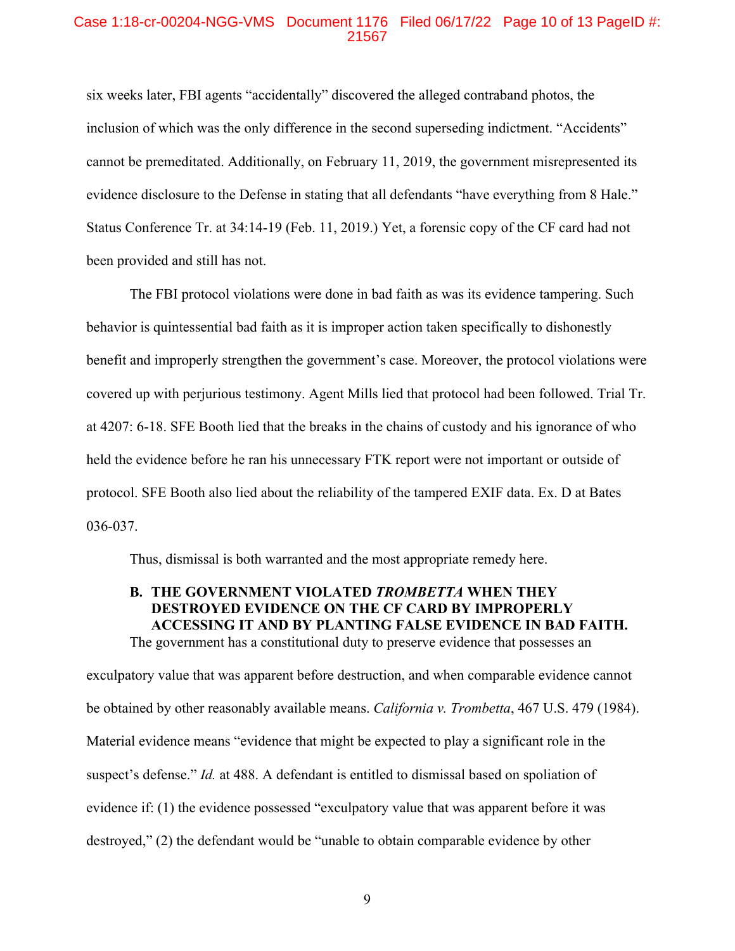#### Case 1:18-cr-00204-NGG-VMS Document 1176 Filed 06/17/22 Page 10 of 13 PageID #: 21567

six weeks later, FBI agents "accidentally" discovered the alleged contraband photos, the inclusion of which was the only difference in the second superseding indictment. "Accidents" cannot be premeditated. Additionally, on February 11, 2019, the government misrepresented its evidence disclosure to the Defense in stating that all defendants "have everything from 8 Hale." Status Conference Tr. at 34:14-19 (Feb. 11, 2019.) Yet, a forensic copy of the CF card had not been provided and still has not.

The FBI protocol violations were done in bad faith as was its evidence tampering. Such behavior is quintessential bad faith as it is improper action taken specifically to dishonestly benefit and improperly strengthen the government's case. Moreover, the protocol violations were covered up with perjurious testimony. Agent Mills lied that protocol had been followed. Trial Tr. at 4207: 6-18. SFE Booth lied that the breaks in the chains of custody and his ignorance of who held the evidence before he ran his unnecessary FTK report were not important or outside of protocol. SFE Booth also lied about the reliability of the tampered EXIF data. Ex. D at Bates 036-037.

Thus, dismissal is both warranted and the most appropriate remedy here.

## **B. THE GOVERNMENT VIOLATED** *TROMBETTA* **WHEN THEY DESTROYED EVIDENCE ON THE CF CARD BY IMPROPERLY ACCESSING IT AND BY PLANTING FALSE EVIDENCE IN BAD FAITH.**  The government has a constitutional duty to preserve evidence that possesses an

exculpatory value that was apparent before destruction, and when comparable evidence cannot be obtained by other reasonably available means. *California v. Trombetta*, 467 U.S. 479 (1984). Material evidence means "evidence that might be expected to play a significant role in the suspect's defense." *Id.* at 488. A defendant is entitled to dismissal based on spoliation of evidence if: (1) the evidence possessed "exculpatory value that was apparent before it was destroyed," (2) the defendant would be "unable to obtain comparable evidence by other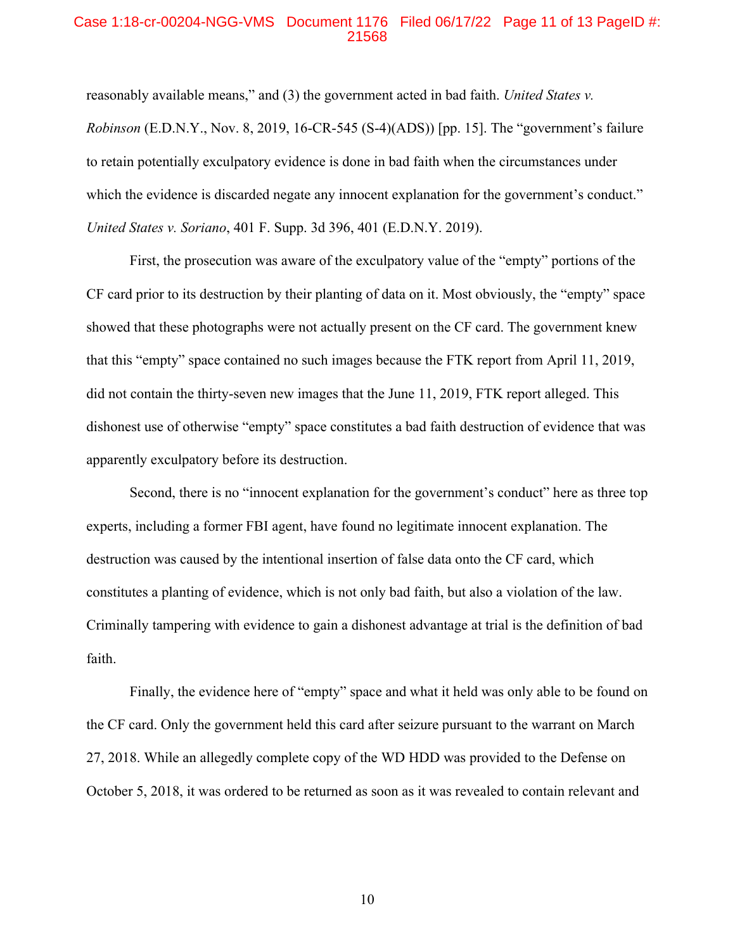#### Case 1:18-cr-00204-NGG-VMS Document 1176 Filed 06/17/22 Page 11 of 13 PageID #: 21568

reasonably available means," and (3) the government acted in bad faith. *United States v. Robinson* (E.D.N.Y., Nov. 8, 2019, 16-CR-545 (S-4)(ADS)) [pp. 15]. The "government's failure to retain potentially exculpatory evidence is done in bad faith when the circumstances under which the evidence is discarded negate any innocent explanation for the government's conduct." *United States v. Soriano*, 401 F. Supp. 3d 396, 401 (E.D.N.Y. 2019).

First, the prosecution was aware of the exculpatory value of the "empty" portions of the CF card prior to its destruction by their planting of data on it. Most obviously, the "empty" space showed that these photographs were not actually present on the CF card. The government knew that this "empty" space contained no such images because the FTK report from April 11, 2019, did not contain the thirty-seven new images that the June 11, 2019, FTK report alleged. This dishonest use of otherwise "empty" space constitutes a bad faith destruction of evidence that was apparently exculpatory before its destruction.

Second, there is no "innocent explanation for the government's conduct" here as three top experts, including a former FBI agent, have found no legitimate innocent explanation. The destruction was caused by the intentional insertion of false data onto the CF card, which constitutes a planting of evidence, which is not only bad faith, but also a violation of the law. Criminally tampering with evidence to gain a dishonest advantage at trial is the definition of bad faith.

Finally, the evidence here of "empty" space and what it held was only able to be found on the CF card. Only the government held this card after seizure pursuant to the warrant on March 27, 2018. While an allegedly complete copy of the WD HDD was provided to the Defense on October 5, 2018, it was ordered to be returned as soon as it was revealed to contain relevant and

10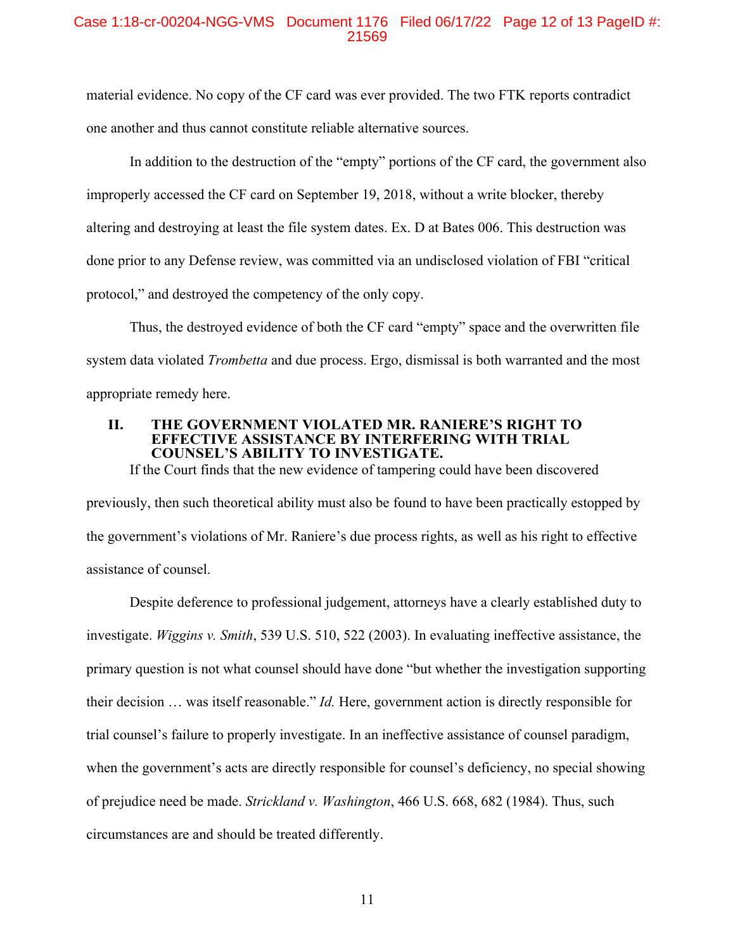## Case 1:18-cr-00204-NGG-VMS Document 1176 Filed 06/17/22 Page 12 of 13 PageID #: 21569

material evidence. No copy of the CF card was ever provided. The two FTK reports contradict one another and thus cannot constitute reliable alternative sources.

In addition to the destruction of the "empty" portions of the CF card, the government also improperly accessed the CF card on September 19, 2018, without a write blocker, thereby altering and destroying at least the file system dates. Ex. D at Bates 006. This destruction was done prior to any Defense review, was committed via an undisclosed violation of FBI "critical protocol," and destroyed the competency of the only copy.

Thus, the destroyed evidence of both the CF card "empty" space and the overwritten file system data violated *Trombetta* and due process. Ergo, dismissal is both warranted and the most appropriate remedy here.

#### **II. THE GOVERNMENT VIOLATED MR. RANIERE'S RIGHT TO EFFECTIVE ASSISTANCE BY INTERFERING WITH TRIAL COUNSEL'S ABILITY TO INVESTIGATE.**

If the Court finds that the new evidence of tampering could have been discovered

previously, then such theoretical ability must also be found to have been practically estopped by the government's violations of Mr. Raniere's due process rights, as well as his right to effective assistance of counsel.

Despite deference to professional judgement, attorneys have a clearly established duty to investigate. *Wiggins v. Smith*, 539 U.S. 510, 522 (2003). In evaluating ineffective assistance, the primary question is not what counsel should have done "but whether the investigation supporting their decision … was itself reasonable." *Id.* Here, government action is directly responsible for trial counsel's failure to properly investigate. In an ineffective assistance of counsel paradigm, when the government's acts are directly responsible for counsel's deficiency, no special showing of prejudice need be made. *Strickland v. Washington*, 466 U.S. 668, 682 (1984). Thus, such circumstances are and should be treated differently.